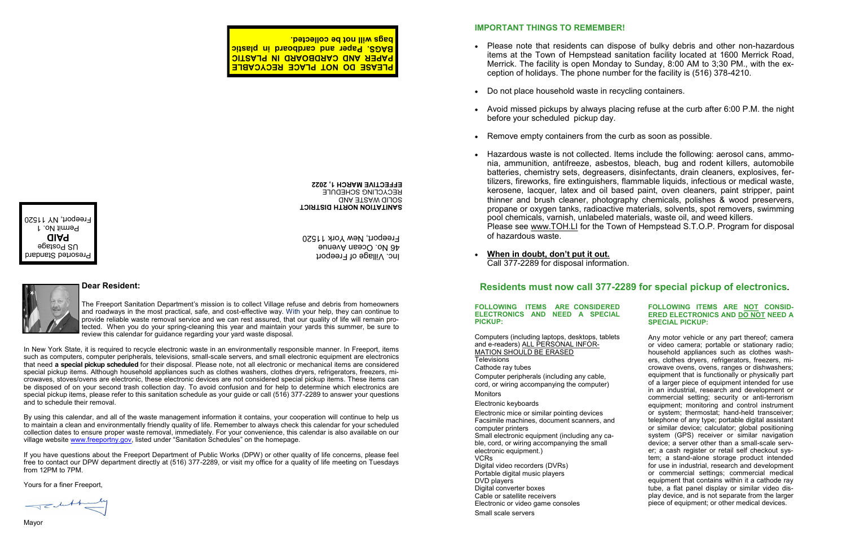### **IMPORTANT THINGS TO REMEMBER!**

• Please note that residents can dispose of bulky debris and other non-hazardous items at the Town of Hempstead sanitation facility located at 1600 Merrick Road, Merrick. The facility is open Monday to Sunday, 8:00 AM to 3;30 PM., with the ex-

Avoid missed pickups by always placing refuse at the curb after 6:00 P.M. the night

- ception of holidays. The phone number for the facility is (516) 378-4210.
- Do not place household waste in recycling containers.
- before your scheduled pickup day.
- Remove empty containers from the curb as soon as possible.
- 0 pool chemicals, varnish, unlabeled materials, waste oil, and weed killers. of hazardous waste.
- 0 **When in doubt, don't put it out.** Call 377-2289 for disposal information.

 Hazardous waste is not collected. Items include the following: aerosol cans, ammonia, ammunition, antifreeze, asbestos, bleach, bug and rodent killers, automobile batteries, chemistry sets, degreasers, disinfectants, drain cleaners, explosives, fertilizers, fireworks, fire extinguishers, flammable liquids, infectious or medical waste, kerosene, lacquer, latex and oil based paint, oven cleaners, paint stripper, paint thinner and brush cleaner, photography chemicals, polishes & wood preservers, propane or oxygen tanks, radioactive materials, solvents, spot removers, swimming

Please see www.TOH.LI for the Town of Hempstead S.T.O.P. Program for disposal

**FOLLOWING ITEMS ARE CONSIDERED ELECTRONICS AND NEED A SPECIAL PICKUP:**

Computers (including laptops, desktops, tablets and e-readers) ALL PERSONAL INFOR-MATION SHOULD BE ERASED **Televisions** Cathode ray tubes Computer peripherals (including any cable, cord, or wiring accompanying the computer) **Monitors** Electronic keyboards Electronic mice or similar pointing devices Facsimile machines, document scanners, and computer printers Small electronic equipment (including any cable, cord, or wiring accompanying the small electronic equipment.) VCRs Digital video recorders (DVRs) Portable digital music players DVD players Digital converter boxes Cable or satellite receivers Electronic or video game consoles Small scale servers

### **FOLLOWING ITEMS ARE NOT CONSID-ERED ELECTRONICS AND DO NOT NEED A SPECIAL PICKUP:**

Any motor vehicle or any part thereof; camera or video camera; portable or stationary radio; household appliances such as clothes washers, clothes dryers, refrigerators, freezers, microwave ovens, ovens, ranges or dishwashers; equipment that is functionally or physically part of a larger piece of equipment intended for use in an industrial, research and development or commercial setting; security or anti-terrorism equipment; monitoring and control instrument or system; thermostat; hand-held transceiver; telephone of any type; portable digital assistant or similar device; calculator; global positioning system (GPS) receiver or similar navigation device; a server other than a small-scale server; a cash register or retail self checkout system; a stand-alone storage product intended for use in industrial, research and development or commercial settings; commercial medical equipment that contains within it a cathode ray tube, a flat panel display or similar video display device, and is not separate from the larger piece of equipment; or other medical devices.

# **Dear Resident: Residents must now call 377-2289 for special pickup of electronics.**

The Freeport Sanitation Department's mission is to collect Village refuse and debris from homeowners and roadways in the most practical, safe, and cost-effective way. With your help, they can continue to provide reliable waste removal service and we can rest assured, that our quality of life will remain protected. When you do your spring-cleaning this year and maintain your yards this summer, be sure to review this calendar for guidance regarding your yard waste disposal.

In New York State, it is required to recycle electronic waste in an environmentally responsible manner. In Freeport, items such as computers, computer peripherals, televisions, small-scale servers, and small electronic equipment are electronics that need **a special pickup scheduled** for their disposal. Please note, not all electronic or mechanical items are considered special pickup items. Although household appliances such as clothes washers, clothes dryers, refrigerators, freezers, microwaves, stoves/ovens are electronic, these electronic devices are not considered special pickup items. These items can be disposed of on your second trash collection day. To avoid confusion and for help to determine which electronics are special pickup items, please refer to this sanitation schedule as your guide or call (516) 377-2289 to answer your questions and to schedule their removal.

By using this calendar, and all of the waste management information it contains, your cooperation will continue to help us to maintain a clean and environmentally friendly quality of life. Remember to always check this calendar for your scheduled collection dates to ensure proper waste removal, immediately. For your convenience, this calendar is also available on our village website [www.freeportny.gov,](http://www.freeportny.gov) listed under "Sanitation Schedules" on the homepage.

If you have questions about the Freeport Department of Public Works (DPW) or other quality of life concerns, please feel free to contact our DPW department directly at (516) 377-2289, or visit my office for a quality of life meeting on Tuesdays from 12PM to 7PM.

Yours for a finer Freeport,

 $\begin{picture}(120,10) \put(0,0){\line(1,0){10}} \put(15,0){\line(1,0){10}} \put(15,0){\line(1,0){10}} \put(15,0){\line(1,0){10}} \put(15,0){\line(1,0){10}} \put(15,0){\line(1,0){10}} \put(15,0){\line(1,0){10}} \put(15,0){\line(1,0){10}} \put(15,0){\line(1,0){10}} \put(15,0){\line(1,0){10}} \put(15,0){\line(1,0){10}} \put(15,0){\line($ 

Inc. Village of Freeport 46 No. Ocean Avenue Freeport, New York 11520





**SANITATION NORTH DISTRICT** SOLID WASTE AND RECYCLING SCHEDULE **EFFECTIVE MARCH 1, 2022**

**PLEASE DO NOT PLACE RECYCABLE PAPER AND CARDBOARD IN PLASTIC BAGS. Paper and cardboard in plastic bags will not be collected.**